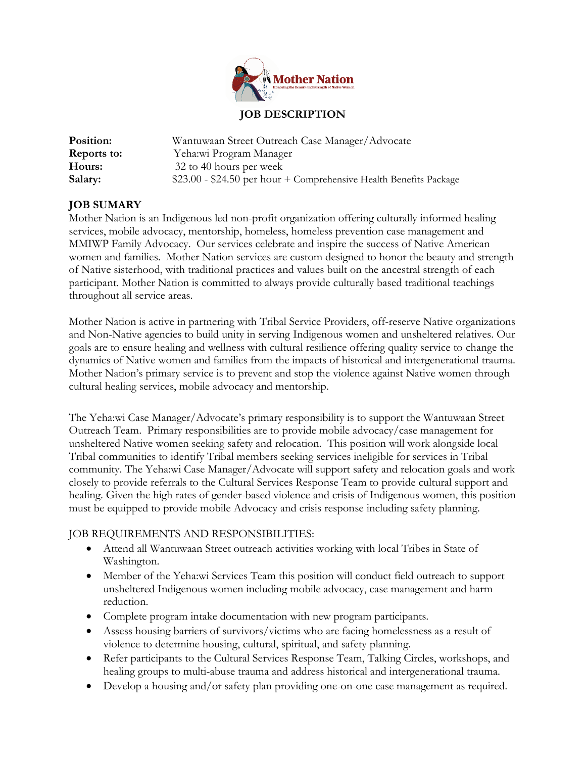

## **JOB DESCRIPTION**

| Position:          | Wantuwaan Street Outreach Case Manager/Advocate                    |
|--------------------|--------------------------------------------------------------------|
| <b>Reports to:</b> | Yeha:wi Program Manager                                            |
| Hours:             | 32 to 40 hours per week                                            |
| Salary:            | $$23.00 - $24.50$ per hour + Comprehensive Health Benefits Package |

# **JOB SUMARY**

Mother Nation is an Indigenous led non-profit organization offering culturally informed healing services, mobile advocacy, mentorship, homeless, homeless prevention case management and MMIWP Family Advocacy. Our services celebrate and inspire the success of Native American women and families. Mother Nation services are custom designed to honor the beauty and strength of Native sisterhood, with traditional practices and values built on the ancestral strength of each participant. Mother Nation is committed to always provide culturally based traditional teachings throughout all service areas.

Mother Nation is active in partnering with Tribal Service Providers, off-reserve Native organizations and Non-Native agencies to build unity in serving Indigenous women and unsheltered relatives. Our goals are to ensure healing and wellness with cultural resilience offering quality service to change the dynamics of Native women and families from the impacts of historical and intergenerational trauma. Mother Nation's primary service is to prevent and stop the violence against Native women through cultural healing services, mobile advocacy and mentorship.

The Yeha:wi Case Manager/Advocate's primary responsibility is to support the Wantuwaan Street Outreach Team. Primary responsibilities are to provide mobile advocacy/case management for unsheltered Native women seeking safety and relocation. This position will work alongside local Tribal communities to identify Tribal members seeking services ineligible for services in Tribal community. The Yeha:wi Case Manager/Advocate will support safety and relocation goals and work closely to provide referrals to the Cultural Services Response Team to provide cultural support and healing. Given the high rates of gender-based violence and crisis of Indigenous women, this position must be equipped to provide mobile Advocacy and crisis response including safety planning.

### JOB REQUIREMENTS AND RESPONSIBILITIES:

- Attend all Wantuwaan Street outreach activities working with local Tribes in State of Washington.
- Member of the Yeha:wi Services Team this position will conduct field outreach to support unsheltered Indigenous women including mobile advocacy, case management and harm reduction.
- Complete program intake documentation with new program participants.
- Assess housing barriers of survivors/victims who are facing homelessness as a result of violence to determine housing, cultural, spiritual, and safety planning.
- Refer participants to the Cultural Services Response Team, Talking Circles, workshops, and healing groups to multi-abuse trauma and address historical and intergenerational trauma.
- Develop a housing and/or safety plan providing one-on-one case management as required.